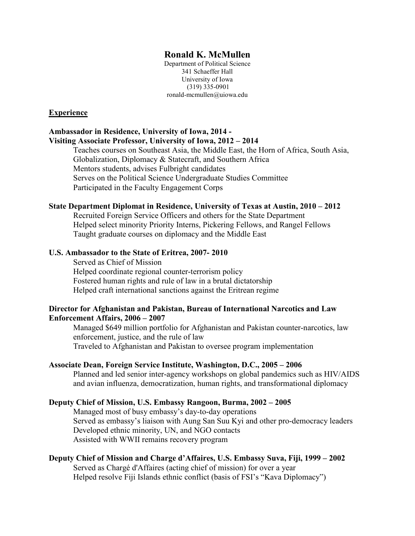## **Ronald K. McMullen**

Department of Political Science 341 Schaeffer Hall University of Iowa (319) 335-0901 ronald-mcmullen@uiowa.edu

#### **Experience**

## **Ambassador in Residence, University of Iowa, 2014 - Visiting Associate Professor, University of Iowa, 2012 – 2014**

Teaches courses on Southeast Asia, the Middle East, the Horn of Africa, South Asia, Globalization, Diplomacy & Statecraft, and Southern Africa Mentors students, advises Fulbright candidates Serves on the Political Science Undergraduate Studies Committee Participated in the Faculty Engagement Corps

### **State Department Diplomat in Residence, University of Texas at Austin, 2010 – 2012**

Recruited Foreign Service Officers and others for the State Department Helped select minority Priority Interns, Pickering Fellows, and Rangel Fellows Taught graduate courses on diplomacy and the Middle East

### **U.S. Ambassador to the State of Eritrea, 2007- 2010**

Served as Chief of Mission Helped coordinate regional counter-terrorism policy Fostered human rights and rule of law in a brutal dictatorship Helped craft international sanctions against the Eritrean regime

### **Director for Afghanistan and Pakistan, Bureau of International Narcotics and Law Enforcement Affairs, 2006 – 2007**

Managed \$649 million portfolio for Afghanistan and Pakistan counter-narcotics, law enforcement, justice, and the rule of law Traveled to Afghanistan and Pakistan to oversee program implementation

#### **Associate Dean, Foreign Service Institute, Washington, D.C., 2005 – 2006**

Planned and led senior inter-agency workshops on global pandemics such as HIV/AIDS and avian influenza, democratization, human rights, and transformational diplomacy

#### **Deputy Chief of Mission, U.S. Embassy Rangoon, Burma, 2002 – 2005**

Managed most of busy embassy's day-to-day operations Served as embassy's liaison with Aung San Suu Kyi and other pro-democracy leaders Developed ethnic minority, UN, and NGO contacts Assisted with WWII remains recovery program

## **Deputy Chief of Mission and Charge d'Affaires, U.S. Embassy Suva, Fiji, 1999 – 2002**

Served as Chargé d'Affaires (acting chief of mission) for over a year Helped resolve Fiji Islands ethnic conflict (basis of FSI's "Kava Diplomacy")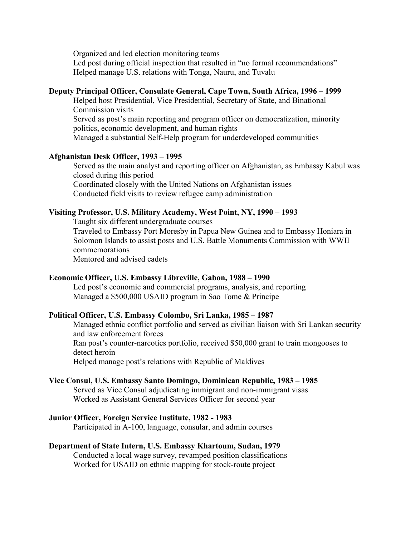Organized and led election monitoring teams Led post during official inspection that resulted in "no formal recommendations" Helped manage U.S. relations with Tonga, Nauru, and Tuvalu

## **Deputy Principal Officer, Consulate General, Cape Town, South Africa, 1996 – 1999**

Helped host Presidential, Vice Presidential, Secretary of State, and Binational Commission visits Served as post's main reporting and program officer on democratization, minority

politics, economic development, and human rights

Managed a substantial Self-Help program for underdeveloped communities

## **Afghanistan Desk Officer, 1993 – 1995**

Served as the main analyst and reporting officer on Afghanistan, as Embassy Kabul was closed during this period Coordinated closely with the United Nations on Afghanistan issues Conducted field visits to review refugee camp administration

## **Visiting Professor, U.S. Military Academy, West Point, NY, 1990 – 1993**

Taught six different undergraduate courses

Traveled to Embassy Port Moresby in Papua New Guinea and to Embassy Honiara in Solomon Islands to assist posts and U.S. Battle Monuments Commission with WWII commemorations

Mentored and advised cadets

#### **Economic Officer, U.S. Embassy Libreville, Gabon, 1988 – 1990**

Led post's economic and commercial programs, analysis, and reporting Managed a \$500,000 USAID program in Sao Tome & Principe

#### **Political Officer, U.S. Embassy Colombo, Sri Lanka, 1985 – 1987**

Managed ethnic conflict portfolio and served as civilian liaison with Sri Lankan security and law enforcement forces

Ran post's counter-narcotics portfolio, received \$50,000 grant to train mongooses to detect heroin

Helped manage post's relations with Republic of Maldives

#### **Vice Consul, U.S. Embassy Santo Domingo, Dominican Republic, 1983 – 1985**

Served as Vice Consul adjudicating immigrant and non-immigrant visas Worked as Assistant General Services Officer for second year

#### **Junior Officer, Foreign Service Institute, 1982 - 1983**

Participated in A-100, language, consular, and admin courses

## **Department of State Intern, U.S. Embassy Khartoum, Sudan, 1979**

Conducted a local wage survey, revamped position classifications Worked for USAID on ethnic mapping for stock-route project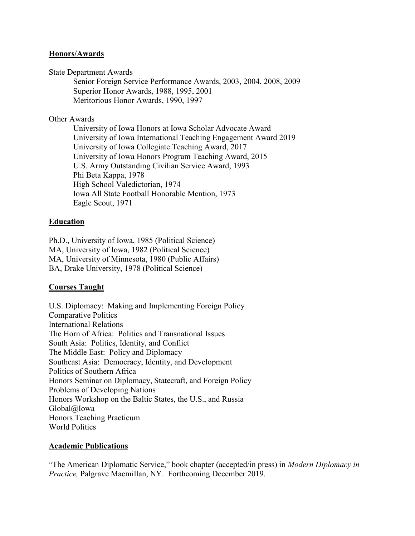## **Honors/Awards**

State Department Awards

Senior Foreign Service Performance Awards, 2003, 2004, 2008, 2009 Superior Honor Awards, 1988, 1995, 2001 Meritorious Honor Awards, 1990, 1997

## Other Awards

University of Iowa Honors at Iowa Scholar Advocate Award University of Iowa International Teaching Engagement Award 2019 University of Iowa Collegiate Teaching Award, 2017 University of Iowa Honors Program Teaching Award, 2015 U.S. Army Outstanding Civilian Service Award, 1993 Phi Beta Kappa, 1978 High School Valedictorian, 1974 Iowa All State Football Honorable Mention, 1973 Eagle Scout, 1971

# **Education**

Ph.D., University of Iowa, 1985 (Political Science) MA, University of Iowa, 1982 (Political Science) MA, University of Minnesota, 1980 (Public Affairs) BA, Drake University, 1978 (Political Science)

# **Courses Taught**

U.S. Diplomacy: Making and Implementing Foreign Policy Comparative Politics International Relations The Horn of Africa: Politics and Transnational Issues South Asia: Politics, Identity, and Conflict The Middle East: Policy and Diplomacy Southeast Asia: Democracy, Identity, and Development Politics of Southern Africa Honors Seminar on Diplomacy, Statecraft, and Foreign Policy Problems of Developing Nations Honors Workshop on the Baltic States, the U.S., and Russia Global@Iowa Honors Teaching Practicum World Politics

## **Academic Publications**

"The American Diplomatic Service," book chapter (accepted/in press) in *Modern Diplomacy in Practice,* Palgrave Macmillan, NY. Forthcoming December 2019.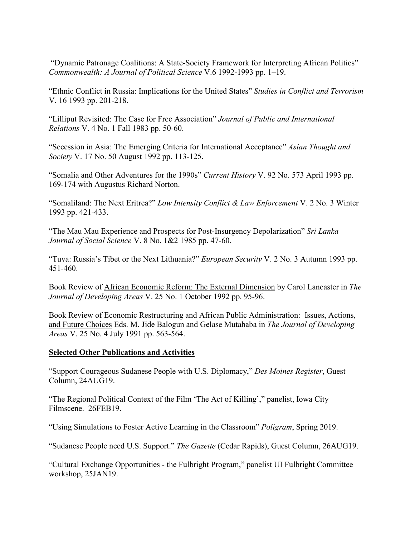"Dynamic Patronage Coalitions: A State-Society Framework for Interpreting African Politics" *Commonwealth: A Journal of Political Science* V.6 1992-1993 pp. 1–19.

"Ethnic Conflict in Russia: Implications for the United States" *Studies in Conflict and Terrorism* V. 16 1993 pp. 201-218.

"Lilliput Revisited: The Case for Free Association" *Journal of Public and International Relations* V. 4 No. 1 Fall 1983 pp. 50-60.

"Secession in Asia: The Emerging Criteria for International Acceptance" *Asian Thought and Society* V. 17 No. 50 August 1992 pp. 113-125.

"Somalia and Other Adventures for the 1990s" *Current History* V. 92 No. 573 April 1993 pp. 169-174 with Augustus Richard Norton.

"Somaliland: The Next Eritrea?" *Low Intensity Conflict & Law Enforcement* V. 2 No. 3 Winter 1993 pp. 421-433.

"The Mau Mau Experience and Prospects for Post-Insurgency Depolarization" *Sri Lanka Journal of Social Science* V. 8 No. 1&2 1985 pp. 47-60.

"Tuva: Russia's Tibet or the Next Lithuania?" *European Security* V. 2 No. 3 Autumn 1993 pp. 451-460.

Book Review of African Economic Reform: The External Dimension by Carol Lancaster in *The Journal of Developing Areas* V. 25 No. 1 October 1992 pp. 95-96.

Book Review of Economic Restructuring and African Public Administration: Issues, Actions, and Future Choices Eds. M. Jide Balogun and Gelase Mutahaba in *The Journal of Developing Areas* V. 25 No. 4 July 1991 pp. 563-564.

# **Selected Other Publications and Activities**

"Support Courageous Sudanese People with U.S. Diplomacy," *Des Moines Register*, Guest Column, 24AUG19.

"The Regional Political Context of the Film 'The Act of Killing'," panelist, Iowa City Filmscene. 26FEB19.

"Using Simulations to Foster Active Learning in the Classroom" *Poligram*, Spring 2019.

"Sudanese People need U.S. Support." *The Gazette* (Cedar Rapids), Guest Column, 26AUG19.

"Cultural Exchange Opportunities - the Fulbright Program," panelist UI Fulbright Committee workshop, 25JAN19.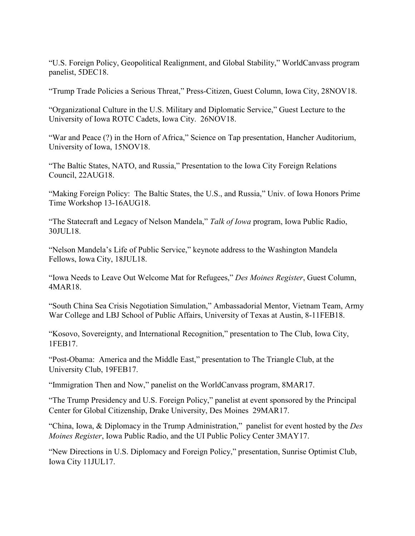"U.S. Foreign Policy, Geopolitical Realignment, and Global Stability," WorldCanvass program panelist, 5DEC18.

"Trump Trade Policies a Serious Threat," Press-Citizen, Guest Column, Iowa City, 28NOV18.

"Organizational Culture in the U.S. Military and Diplomatic Service," Guest Lecture to the University of Iowa ROTC Cadets, Iowa City. 26NOV18.

"War and Peace (?) in the Horn of Africa," Science on Tap presentation, Hancher Auditorium, University of Iowa, 15NOV18.

"The Baltic States, NATO, and Russia," Presentation to the Iowa City Foreign Relations Council, 22AUG18.

"Making Foreign Policy: The Baltic States, the U.S., and Russia," Univ. of Iowa Honors Prime Time Workshop 13-16AUG18.

"The Statecraft and Legacy of Nelson Mandela," *Talk of Iowa* program, Iowa Public Radio, 30JUL18.

"Nelson Mandela's Life of Public Service," keynote address to the Washington Mandela Fellows, Iowa City, 18JUL18.

"Iowa Needs to Leave Out Welcome Mat for Refugees," *Des Moines Register*, Guest Column, 4MAR18.

"South China Sea Crisis Negotiation Simulation," Ambassadorial Mentor, Vietnam Team, Army War College and LBJ School of Public Affairs, University of Texas at Austin, 8-11FEB18.

"Kosovo, Sovereignty, and International Recognition," presentation to The Club, Iowa City, 1FEB17.

"Post-Obama: America and the Middle East," presentation to The Triangle Club, at the University Club, 19FEB17.

"Immigration Then and Now," panelist on the WorldCanvass program, 8MAR17.

"The Trump Presidency and U.S. Foreign Policy," panelist at event sponsored by the Principal Center for Global Citizenship, Drake University, Des Moines 29MAR17.

"China, Iowa, & Diplomacy in the Trump Administration," panelist for event hosted by the *Des Moines Register*, Iowa Public Radio, and the UI Public Policy Center 3MAY17.

"New Directions in U.S. Diplomacy and Foreign Policy," presentation, Sunrise Optimist Club, Iowa City 11JUL17.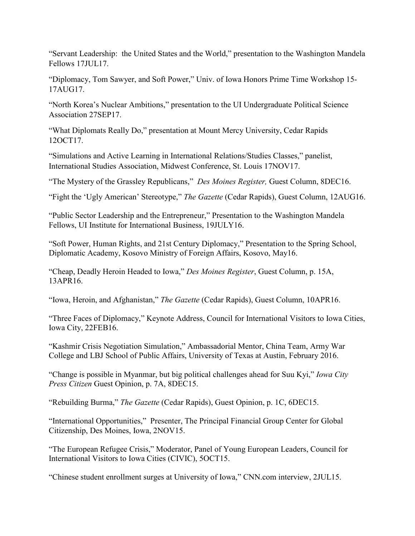"Servant Leadership: the United States and the World," presentation to the Washington Mandela Fellows 17JUL17.

"Diplomacy, Tom Sawyer, and Soft Power," Univ. of Iowa Honors Prime Time Workshop 15- 17AUG17.

"North Korea's Nuclear Ambitions," presentation to the UI Undergraduate Political Science Association 27SEP17.

"What Diplomats Really Do," presentation at Mount Mercy University, Cedar Rapids 12OCT17.

"Simulations and Active Learning in International Relations/Studies Classes," panelist, International Studies Association, Midwest Conference, St. Louis 17NOV17.

"The Mystery of the Grassley Republicans," *Des Moines Register,* Guest Column, 8DEC16.

"Fight the 'Ugly American' Stereotype," *The Gazette* (Cedar Rapids), Guest Column, 12AUG16.

"Public Sector Leadership and the Entrepreneur," Presentation to the Washington Mandela Fellows, UI Institute for International Business, 19JULY16.

"Soft Power, Human Rights, and 21st Century Diplomacy," Presentation to the Spring School, Diplomatic Academy, Kosovo Ministry of Foreign Affairs, Kosovo, May16.

"Cheap, Deadly Heroin Headed to Iowa," *Des Moines Register*, Guest Column, p. 15A, 13APR16.

"Iowa, Heroin, and Afghanistan," *The Gazette* (Cedar Rapids), Guest Column, 10APR16.

"Three Faces of Diplomacy," Keynote Address, Council for International Visitors to Iowa Cities, Iowa City, 22FEB16.

"Kashmir Crisis Negotiation Simulation," Ambassadorial Mentor, China Team, Army War College and LBJ School of Public Affairs, University of Texas at Austin, February 2016.

"Change is possible in Myanmar, but big political challenges ahead for Suu Kyi," *Iowa City Press Citizen* Guest Opinion, p. 7A, 8DEC15.

"Rebuilding Burma," *The Gazette* (Cedar Rapids), Guest Opinion, p. 1C, 6DEC15.

"International Opportunities," Presenter, The Principal Financial Group Center for Global Citizenship, Des Moines, Iowa, 2NOV15.

"The European Refugee Crisis," Moderator, Panel of Young European Leaders, Council for International Visitors to Iowa Cities (CIVIC), 5OCT15.

"Chinese student enrollment surges at University of Iowa," CNN.com interview, 2JUL15.